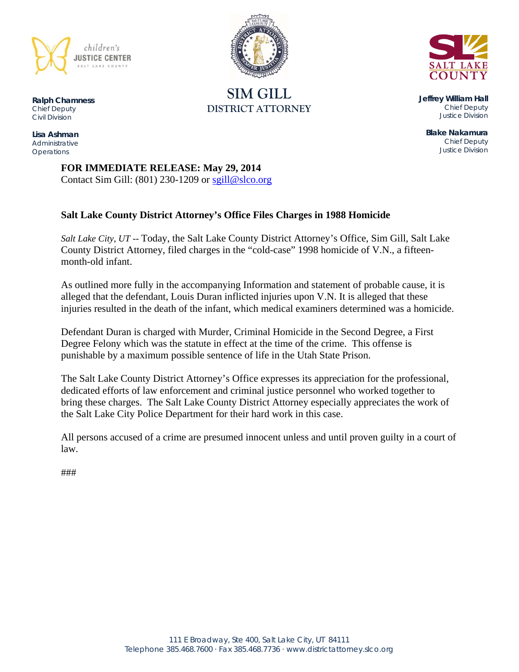

**SIM GILL DISTRICT ATTORNEY** 



**Jeffrey William Hall**  *Chief Deputy Justice Division* 

**Blake Nakamura**  *Chief Deputy Justice Division* 

**FOR IMMEDIATE RELEASE: May 29, 2014**  Contact Sim Gill:  $(801)$  230-1209 or sgill@slco.org

## **Salt Lake County District Attorney's Office Files Charges in 1988 Homicide**

*Salt Lake City, UT* -- Today, the Salt Lake County District Attorney's Office, Sim Gill, Salt Lake County District Attorney, filed charges in the "cold-case" 1998 homicide of V.N., a fifteenmonth-old infant.

As outlined more fully in the accompanying Information and statement of probable cause, it is alleged that the defendant, Louis Duran inflicted injuries upon V.N. It is alleged that these injuries resulted in the death of the infant, which medical examiners determined was a homicide.

Defendant Duran is charged with Murder, Criminal Homicide in the Second Degree, a First Degree Felony which was the statute in effect at the time of the crime. This offense is punishable by a maximum possible sentence of life in the Utah State Prison.

The Salt Lake County District Attorney's Office expresses its appreciation for the professional, dedicated efforts of law enforcement and criminal justice personnel who worked together to bring these charges. The Salt Lake County District Attorney especially appreciates the work of the Salt Lake City Police Department for their hard work in this case.

All persons accused of a crime are presumed innocent unless and until proven guilty in a court of law.

###

**Ralph Chamness**  *Chief Deputy Civil Division* 

**Lisa Ashman**  *Administrative Operations*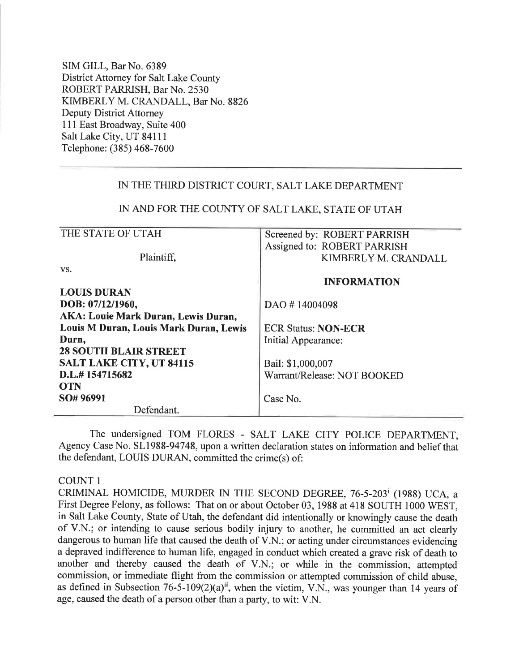SIM GILL, Bar No. 6389 District Attorney for Salt Lake County ROBERT PARRISH, Bar No. 2530 KIMBERLY M. CRANDALL, Bar No. 8826 **Deputy District Attorney** 111 East Broadway, Suite 400 Salt Lake City, UT 84111 Telephone: (385) 468-7600

### IN THE THIRD DISTRICT COURT, SALT LAKE DEPARTMENT

### IN AND FOR THE COUNTY OF SALT LAKE, STATE OF UTAH

| THE STATE OF UTAH                          | Screened by: ROBERT PARRISH |  |  |
|--------------------------------------------|-----------------------------|--|--|
|                                            | Assigned to: ROBERT PARRISH |  |  |
| Plaintiff,                                 | KIMBERLY M. CRANDALL        |  |  |
| VS.                                        |                             |  |  |
|                                            | <b>INFORMATION</b>          |  |  |
| <b>LOUIS DURAN</b>                         |                             |  |  |
| DOB: 07/12/1960,                           | DAO #14004098               |  |  |
| <b>AKA: Louie Mark Duran, Lewis Duran,</b> |                             |  |  |
| Louis M Duran, Louis Mark Duran, Lewis     | <b>ECR Status: NON-ECR</b>  |  |  |
| Durn,                                      | Initial Appearance:         |  |  |
| <b>28 SOUTH BLAIR STREET</b>               |                             |  |  |
| <b>SALT LAKE CITY, UT 84115</b>            | Bail: \$1,000,007           |  |  |
| D.L.#154715682                             | Warrant/Release: NOT BOOKED |  |  |
| <b>OTN</b>                                 |                             |  |  |
| SO# 96991                                  | Case No.                    |  |  |
| Defendant.                                 |                             |  |  |

The undersigned TOM FLORES - SALT LAKE CITY POLICE DEPARTMENT. Agency Case No. SL1988-94748, upon a written declaration states on information and belief that the defendant, LOUIS DURAN, committed the crime(s) of:

#### **COUNT 1**

CRIMINAL HOMICIDE, MURDER IN THE SECOND DEGREE, 76-5-203<sup>†</sup> (1988) UCA, a First Degree Felony, as follows: That on or about October 03, 1988 at 418 SOUTH 1000 WEST, in Salt Lake County, State of Utah, the defendant did intentionally or knowingly cause the death of V.N.; or intending to cause serious bodily injury to another, he committed an act clearly dangerous to human life that caused the death of V.N.; or acting under circumstances evidencing a depraved indifference to human life, engaged in conduct which created a grave risk of death to another and thereby caused the death of V.N.; or while in the commission, attempted commission, or immediate flight from the commission or attempted commission of child abuse, as defined in Subsection 76-5-109(2)(a)<sup>ii</sup>, when the victim, V.N., was younger than 14 years of age, caused the death of a person other than a party, to wit: V.N.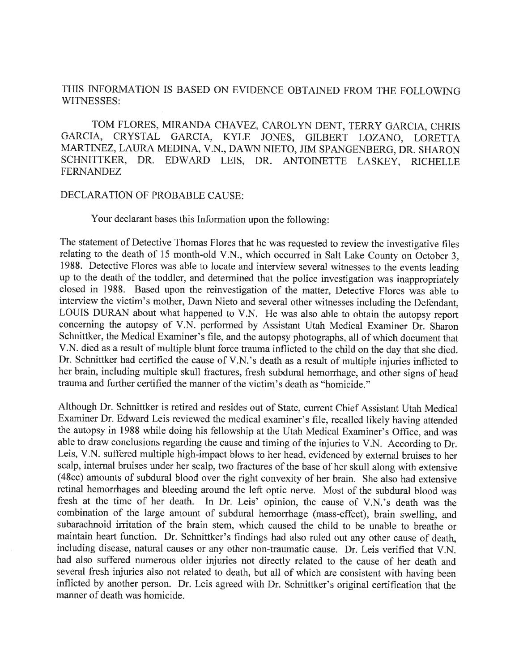## THIS INFORMATION IS BASED ON EVIDENCE OBTAINED FROM THE FOLLOWING WITNESSES:

TOM FLORES, MIRANDA CHAVEZ, CAROLYN DENT, TERRY GARCIA, CHRIS GARCIA, CRYSTAL GARCIA, KYLE JONES, GILBERT LOZANO, LORETTA MARTINEZ, LAURA MEDINA, V.N., DAWN NIETO, JIM SPANGENBERG, DR. SHARON SCHNITTKER, DR. EDWARD LEIS, DR. ANTOINETTE LASKEY, RICHELLE **FERNANDEZ** 

#### DECLARATION OF PROBABLE CAUSE:

Your declarant bases this Information upon the following:

The statement of Detective Thomas Flores that he was requested to review the investigative files relating to the death of 15 month-old V.N., which occurred in Salt Lake County on October 3. 1988. Detective Flores was able to locate and interview several witnesses to the events leading up to the death of the toddler, and determined that the police investigation was inappropriately closed in 1988. Based upon the reinvestigation of the matter, Detective Flores was able to interview the victim's mother, Dawn Nieto and several other witnesses including the Defendant, LOUIS DURAN about what happened to V.N. He was also able to obtain the autopsy report concerning the autopsy of V.N. performed by Assistant Utah Medical Examiner Dr. Sharon Schnittker, the Medical Examiner's file, and the autopsy photographs, all of which document that V.N. died as a result of multiple blunt force trauma inflicted to the child on the day that she died. Dr. Schnittker had certified the cause of V.N.'s death as a result of multiple injuries inflicted to her brain, including multiple skull fractures, fresh subdural hemorrhage, and other signs of head trauma and further certified the manner of the victim's death as "homicide."

Although Dr. Schnittker is retired and resides out of State, current Chief Assistant Utah Medical Examiner Dr. Edward Leis reviewed the medical examiner's file, recalled likely having attended the autopsy in 1988 while doing his fellowship at the Utah Medical Examiner's Office, and was able to draw conclusions regarding the cause and timing of the injuries to V.N. According to Dr. Leis, V.N. suffered multiple high-impact blows to her head, evidenced by external bruises to her scalp, internal bruises under her scalp, two fractures of the base of her skull along with extensive (48cc) amounts of subdural blood over the right convexity of her brain. She also had extensive retinal hemorrhages and bleeding around the left optic nerve. Most of the subdural blood was fresh at the time of her death. In Dr. Leis' opinion, the cause of V.N.'s death was the combination of the large amount of subdural hemorrhage (mass-effect), brain swelling, and subarachnoid irritation of the brain stem, which caused the child to be unable to breathe or maintain heart function. Dr. Schnittker's findings had also ruled out any other cause of death, including disease, natural causes or any other non-traumatic cause. Dr. Leis verified that V.N. had also suffered numerous older injuries not directly related to the cause of her death and several fresh injuries also not related to death, but all of which are consistent with having been inflicted by another person. Dr. Leis agreed with Dr. Schnittker's original certification that the manner of death was homicide.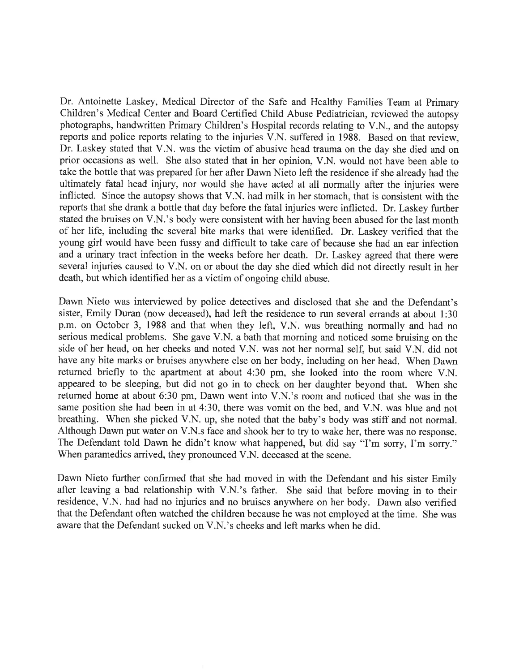Dr. Antoinette Laskey, Medical Director of the Safe and Healthy Families Team at Primary Children's Medical Center and Board Certified Child Abuse Pediatrician, reviewed the autopsy photographs, handwritten Primary Children's Hospital records relating to V.N., and the autopsy reports and police reports relating to the injuries V.N. suffered in 1988. Based on that review, Dr. Laskey stated that V.N. was the victim of abusive head trauma on the day she died and on prior occasions as well. She also stated that in her opinion, V.N. would not have been able to take the bottle that was prepared for her after Dawn Nieto left the residence if she already had the ultimately fatal head injury, nor would she have acted at all normally after the injuries were inflicted. Since the autopsy shows that V.N. had milk in her stomach, that is consistent with the reports that she drank a bottle that day before the fatal injuries were inflicted. Dr. Laskey further stated the bruises on V.N.'s body were consistent with her having been abused for the last month of her life, including the several bite marks that were identified. Dr. Laskey verified that the young girl would have been fussy and difficult to take care of because she had an ear infection and a urinary tract infection in the weeks before her death. Dr. Laskey agreed that there were several injuries caused to V.N. on or about the day she died which did not directly result in her death, but which identified her as a victim of ongoing child abuse.

Dawn Nieto was interviewed by police detectives and disclosed that she and the Defendant's sister, Emily Duran (now deceased), had left the residence to run several errands at about 1:30 p.m. on October 3, 1988 and that when they left, V.N. was breathing normally and had no serious medical problems. She gave V.N. a bath that morning and noticed some bruising on the side of her head, on her cheeks and noted V.N. was not her normal self, but said V.N. did not have any bite marks or bruises anywhere else on her body, including on her head. When Dawn returned briefly to the apartment at about 4:30 pm, she looked into the room where V.N. appeared to be sleeping, but did not go in to check on her daughter beyond that. When she returned home at about 6:30 pm, Dawn went into V.N.'s room and noticed that she was in the same position she had been in at 4:30, there was vomit on the bed, and V.N. was blue and not breathing. When she picked V.N. up, she noted that the baby's body was stiff and not normal. Although Dawn put water on V.N.s face and shook her to try to wake her, there was no response. The Defendant told Dawn he didn't know what happened, but did say "I'm sorry, I'm sorry." When paramedics arrived, they pronounced V.N. deceased at the scene.

Dawn Nieto further confirmed that she had moved in with the Defendant and his sister Emily after leaving a bad relationship with V.N.'s father. She said that before moving in to their residence, V.N. had had no injuries and no bruises anywhere on her body. Dawn also verified that the Defendant often watched the children because he was not employed at the time. She was aware that the Defendant sucked on V.N.'s cheeks and left marks when he did.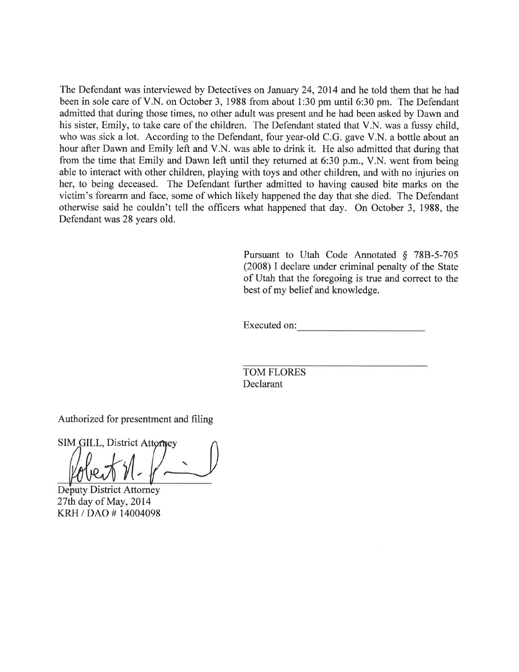The Defendant was interviewed by Detectives on January 24, 2014 and he told them that he had been in sole care of V.N. on October 3, 1988 from about 1:30 pm until 6:30 pm. The Defendant admitted that during those times, no other adult was present and he had been asked by Dawn and his sister, Emily, to take care of the children. The Defendant stated that V.N. was a fussy child, who was sick a lot. According to the Defendant, four year-old C.G. gave V.N. a bottle about an hour after Dawn and Emily left and V.N. was able to drink it. He also admitted that during that from the time that Emily and Dawn left until they returned at 6:30 p.m., V.N. went from being able to interact with other children, playing with toys and other children, and with no injuries on her, to being deceased. The Defendant further admitted to having caused bite marks on the victim's forearm and face, some of which likely happened the day that she died. The Defendant otherwise said he couldn't tell the officers what happened that day. On October 3, 1988, the Defendant was 28 years old.

> Pursuant to Utah Code Annotated § 78B-5-705 (2008) I declare under criminal penalty of the State of Utah that the foregoing is true and correct to the best of my belief and knowledge.

Executed on:

**TOM FLORES** Declarant

Authorized for presentment and filing

SIM GILL, District Attorney

**Deputy District Attorney** 27th day of May, 2014 KRH / DAO #14004098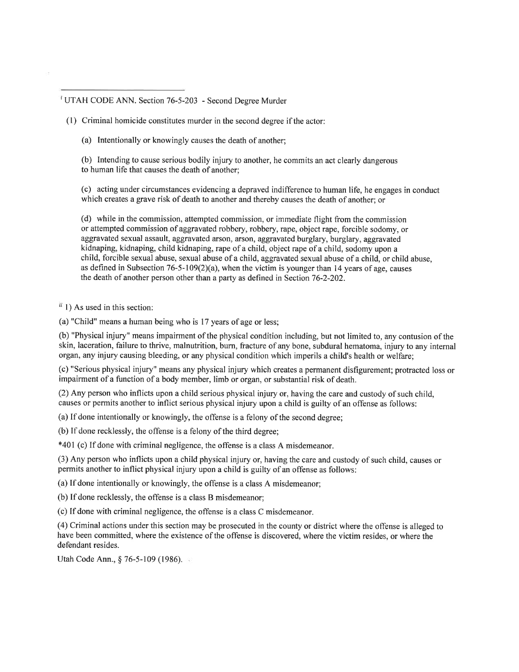<sup>1</sup> UTAH CODE ANN. Section 76-5-203 - Second Degree Murder

- (1) Criminal homicide constitutes murder in the second degree if the actor:
	- (a) Intentionally or knowingly causes the death of another;

(b) Intending to cause serious bodily injury to another, he commits an act clearly dangerous to human life that causes the death of another:

(c) acting under circumstances evidencing a depraved indifference to human life, he engages in conduct which creates a grave risk of death to another and thereby causes the death of another: or

(d) while in the commission, attempted commission, or immediate flight from the commission or attempted commission of aggravated robbery, robbery, rape, object rape, forcible sodomy, or aggravated sexual assault, aggravated arson, arson, aggravated burglary, burglary, aggravated kidnaping, kidnaping, child kidnaping, rape of a child, object rape of a child, sodomy upon a child, forcible sexual abuse, sexual abuse of a child, aggravated sexual abuse of a child, or child abuse. as defined in Subsection 76-5-109(2)(a), when the victim is younger than 14 years of age, causes the death of another person other than a party as defined in Section  $76-2-202$ .

 $\frac{1}{11}$  1) As used in this section:

(a) "Child" means a human being who is 17 years of age or less;

(b) "Physical injury" means impairment of the physical condition including, but not limited to, any contusion of the skin, laceration, failure to thrive, malnutrition, burn, fracture of any bone, subdural hematoma, injury to any internal organ, any injury causing bleeding, or any physical condition which imperils a child's health or welfare;

(c) "Serious physical injury" means any physical injury which creates a permanent disfigurement; protracted loss or impairment of a function of a body member, limb or organ, or substantial risk of death.

(2) Any person who inflicts upon a child serious physical injury or, having the care and custody of such child, causes or permits another to inflict serious physical injury upon a child is guilty of an offense as follows:

(a) If done intentionally or knowingly, the offense is a felony of the second degree:

(b) If done recklessly, the offense is a felony of the third degree:

\*401 (c) If done with criminal negligence, the offense is a class A misdemeanor.

(3) Any person who inflicts upon a child physical injury or, having the care and custody of such child, causes or permits another to inflict physical injury upon a child is guilty of an offense as follows:

(a) If done intentionally or knowingly, the offense is a class A misdemeanor;

(b) If done recklessly, the offense is a class B misdemeanor:

(c) If done with criminal negligence, the offense is a class C misdemeanor.

(4) Criminal actions under this section may be prosecuted in the county or district where the offense is alleged to have been committed, where the existence of the offense is discovered, where the victim resides, or where the defendant resides.

Utah Code Ann., § 76-5-109 (1986).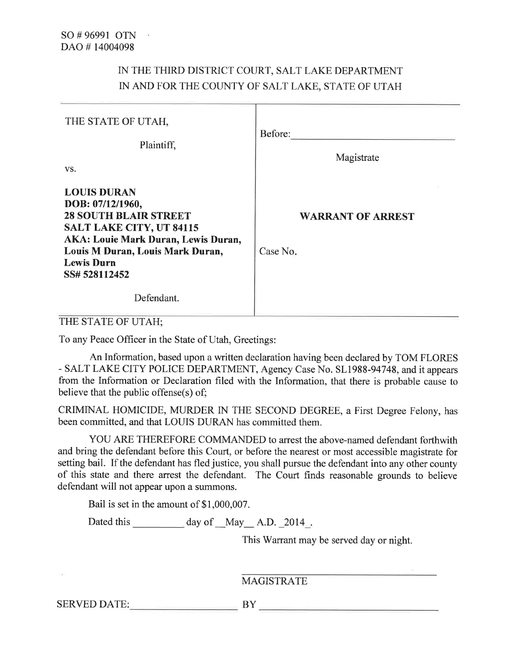# IN THE THIRD DISTRICT COURT, SALT LAKE DEPARTMENT IN AND FOR THE COUNTY OF SALT LAKE, STATE OF UTAH

| THE STATE OF UTAH,<br>Plaintiff,<br>VS.                                                                                                                                                                                                         | Before:<br>Magistrate                |
|-------------------------------------------------------------------------------------------------------------------------------------------------------------------------------------------------------------------------------------------------|--------------------------------------|
| <b>LOUIS DURAN</b><br>DOB: 07/12/1960,<br><b>28 SOUTH BLAIR STREET</b><br><b>SALT LAKE CITY, UT 84115</b><br><b>AKA: Louie Mark Duran, Lewis Duran,</b><br>Louis M Duran, Louis Mark Duran,<br><b>Lewis Durn</b><br>SS# 528112452<br>Defendant. | <b>WARRANT OF ARREST</b><br>Case No. |

THE STATE OF UTAH;

To any Peace Officer in the State of Utah, Greetings:

An Information, based upon a written declaration having been declared by TOM FLORES - SALT LAKE CITY POLICE DEPARTMENT, Agency Case No. SL1988-94748, and it appears from the Information or Declaration filed with the Information, that there is probable cause to believe that the public offense(s) of;

CRIMINAL HOMICIDE, MURDER IN THE SECOND DEGREE, a First Degree Felony, has been committed, and that LOUIS DURAN has committed them.

YOU ARE THEREFORE COMMANDED to arrest the above-named defendant forthwith and bring the defendant before this Court, or before the nearest or most accessible magistrate for setting bail. If the defendant has fled justice, you shall pursue the defendant into any other county of this state and there arrest the defendant. The Court finds reasonable grounds to believe defendant will not appear upon a summons.

Bail is set in the amount of \$1,000,007.

This Warrant may be served day or night.

**MAGISTRATE** 

SERVED DATE: BY